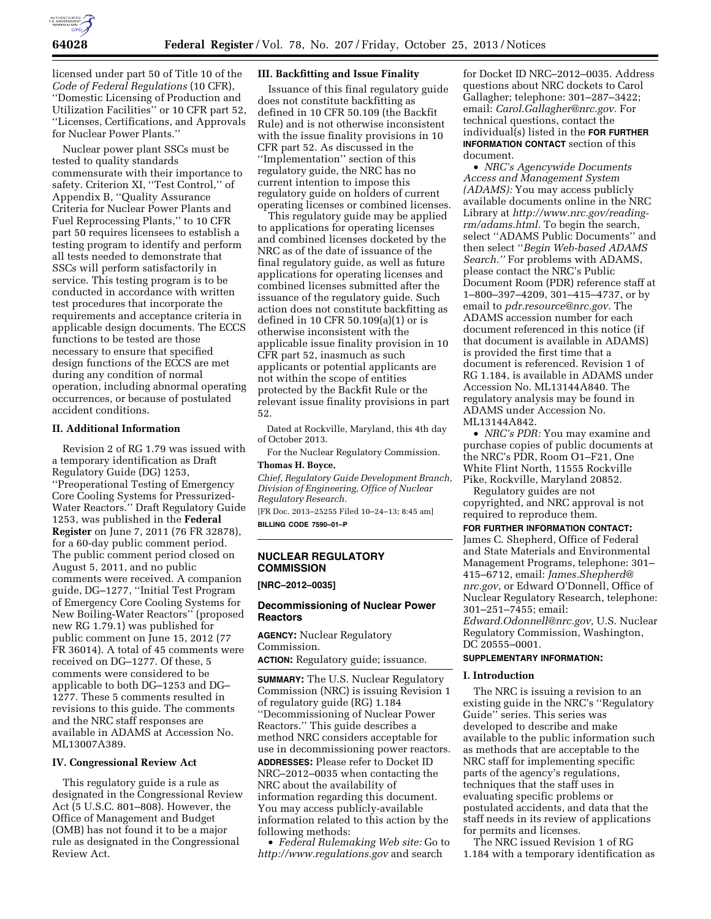

licensed under part 50 of Title 10 of the *Code of Federal Regulations* (10 CFR), ''Domestic Licensing of Production and Utilization Facilities'' or 10 CFR part 52, ''Licenses, Certifications, and Approvals for Nuclear Power Plants.''

Nuclear power plant SSCs must be tested to quality standards commensurate with their importance to safety. Criterion XI, ''Test Control,'' of Appendix B, ''Quality Assurance Criteria for Nuclear Power Plants and Fuel Reprocessing Plants,'' to 10 CFR part 50 requires licensees to establish a testing program to identify and perform all tests needed to demonstrate that SSCs will perform satisfactorily in service. This testing program is to be conducted in accordance with written test procedures that incorporate the requirements and acceptance criteria in applicable design documents. The ECCS functions to be tested are those necessary to ensure that specified design functions of the ECCS are met during any condition of normal operation, including abnormal operating occurrences, or because of postulated accident conditions.

## **II. Additional Information**

Revision 2 of RG 1.79 was issued with a temporary identification as Draft Regulatory Guide (DG) 1253, ''Preoperational Testing of Emergency Core Cooling Systems for Pressurized-Water Reactors.'' Draft Regulatory Guide 1253, was published in the **Federal Register** on June 7, 2011 (76 FR 32878), for a 60-day public comment period. The public comment period closed on August 5, 2011, and no public comments were received. A companion guide, DG–1277, ''Initial Test Program of Emergency Core Cooling Systems for New Boiling-Water Reactors'' (proposed new RG 1.79.1) was published for public comment on June 15, 2012 (77 FR 36014). A total of 45 comments were received on DG–1277. Of these, 5 comments were considered to be applicable to both DG–1253 and DG– 1277. These 5 comments resulted in revisions to this guide. The comments and the NRC staff responses are available in ADAMS at Accession No. ML13007A389.

## **IV. Congressional Review Act**

This regulatory guide is a rule as designated in the Congressional Review Act (5 U.S.C. 801–808). However, the Office of Management and Budget (OMB) has not found it to be a major rule as designated in the Congressional Review Act.

### **III. Backfitting and Issue Finality**

Issuance of this final regulatory guide does not constitute backfitting as defined in 10 CFR 50.109 (the Backfit Rule) and is not otherwise inconsistent with the issue finality provisions in 10 CFR part 52. As discussed in the ''Implementation'' section of this regulatory guide, the NRC has no current intention to impose this regulatory guide on holders of current operating licenses or combined licenses.

This regulatory guide may be applied to applications for operating licenses and combined licenses docketed by the NRC as of the date of issuance of the final regulatory guide, as well as future applications for operating licenses and combined licenses submitted after the issuance of the regulatory guide. Such action does not constitute backfitting as defined in 10 CFR 50.109(a)(1) or is otherwise inconsistent with the applicable issue finality provision in 10 CFR part 52, inasmuch as such applicants or potential applicants are not within the scope of entities protected by the Backfit Rule or the relevant issue finality provisions in part 52.

Dated at Rockville, Maryland, this 4th day of October 2013.

For the Nuclear Regulatory Commission. **Thomas H. Boyce,** 

*Chief, Regulatory Guide Development Branch, Division of Engineering, Office of Nuclear Regulatory Research.*  [FR Doc. 2013–25255 Filed 10–24–13; 8:45 am]

**BILLING CODE 7590–01–P** 

## **NUCLEAR REGULATORY COMMISSION**

**[NRC–2012–0035]** 

### **Decommissioning of Nuclear Power Reactors**

**AGENCY:** Nuclear Regulatory Commission.

**ACTION:** Regulatory guide; issuance.

**SUMMARY:** The U.S. Nuclear Regulatory Commission (NRC) is issuing Revision 1 of regulatory guide (RG) 1.184 ''Decommissioning of Nuclear Power Reactors.'' This guide describes a method NRC considers acceptable for use in decommissioning power reactors. **ADDRESSES:** Please refer to Docket ID NRC–2012–0035 when contacting the NRC about the availability of information regarding this document. You may access publicly-available information related to this action by the following methods:

• *Federal Rulemaking Web site:* Go to *<http://www.regulations.gov>* and search

for Docket ID NRC–2012–0035. Address questions about NRC dockets to Carol Gallagher; telephone: 301–287–3422; email: *[Carol.Gallagher@nrc.gov.](mailto:Carol.Gallagher@nrc.gov)* For technical questions, contact the individual(s) listed in the **FOR FURTHER INFORMATION CONTACT** section of this document.

• *NRC's Agencywide Documents Access and Management System (ADAMS):* You may access publicly available documents online in the NRC Library at *[http://www.nrc.gov/reading](http://www.nrc.gov/reading-rm/adams.html)[rm/adams.html.](http://www.nrc.gov/reading-rm/adams.html)* To begin the search, select ''ADAMS Public Documents'' and then select ''*Begin Web-based ADAMS Search.''* For problems with ADAMS, please contact the NRC's Public Document Room (PDR) reference staff at 1–800–397–4209, 301–415–4737, or by email to *[pdr.resource@nrc.gov.](mailto:pdr.resource@nrc.gov)* The ADAMS accession number for each document referenced in this notice (if that document is available in ADAMS) is provided the first time that a document is referenced. Revision 1 of RG 1.184, is available in ADAMS under Accession No. ML13144A840. The regulatory analysis may be found in ADAMS under Accession No. ML13144A842.

• *NRC's PDR:* You may examine and purchase copies of public documents at the NRC's PDR, Room O1–F21, One White Flint North, 11555 Rockville Pike, Rockville, Maryland 20852.

Regulatory guides are not copyrighted, and NRC approval is not required to reproduce them.

**FOR FURTHER INFORMATION CONTACT:** 

James C. Shepherd, Office of Federal and State Materials and Environmental Management Programs, telephone: 301– 415–6712, email: *[James.Shepherd@](mailto:James.Shepherd@nrc.gov) [nrc.gov,](mailto:James.Shepherd@nrc.gov)* or Edward O'Donnell, Office of Nuclear Regulatory Research, telephone: 301–251–7455; email:

*[Edward.Odonnell@nrc.gov,](mailto:Edward.Odonnell@nrc.gov)* U.S. Nuclear Regulatory Commission, Washington, DC 20555–0001.

## **SUPPLEMENTARY INFORMATION:**

### **I. Introduction**

The NRC is issuing a revision to an existing guide in the NRC's ''Regulatory Guide'' series. This series was developed to describe and make available to the public information such as methods that are acceptable to the NRC staff for implementing specific parts of the agency's regulations, techniques that the staff uses in evaluating specific problems or postulated accidents, and data that the staff needs in its review of applications for permits and licenses.

The NRC issued Revision 1 of RG 1.184 with a temporary identification as